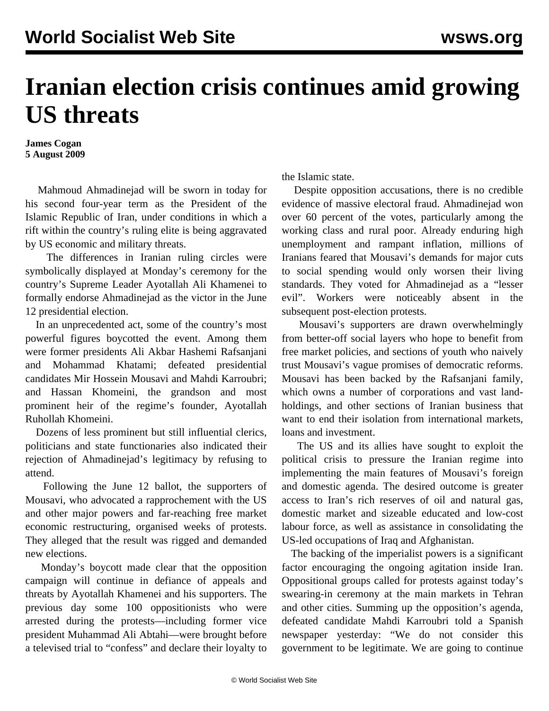## **Iranian election crisis continues amid growing US threats**

**James Cogan 5 August 2009**

 Mahmoud Ahmadinejad will be sworn in today for his second four-year term as the President of the Islamic Republic of Iran, under conditions in which a rift within the country's ruling elite is being aggravated by US economic and military threats.

 The differences in Iranian ruling circles were symbolically displayed at Monday's ceremony for the country's Supreme Leader Ayotallah Ali Khamenei to formally endorse Ahmadinejad as the victor in the June 12 presidential election.

 In an unprecedented act, some of the country's most powerful figures boycotted the event. Among them were former presidents Ali Akbar Hashemi Rafsanjani and Mohammad Khatami; defeated presidential candidates Mir Hossein Mousavi and Mahdi Karroubri; and Hassan Khomeini, the grandson and most prominent heir of the regime's founder, Ayotallah Ruhollah Khomeini.

 Dozens of less prominent but still influential clerics, politicians and state functionaries also indicated their rejection of Ahmadinejad's legitimacy by refusing to attend.

 Following the June 12 ballot, the supporters of Mousavi, who advocated a rapprochement with the US and other major powers and far-reaching free market economic restructuring, organised weeks of protests. They alleged that the result was rigged and demanded new elections.

 Monday's boycott made clear that the opposition campaign will continue in defiance of appeals and threats by Ayotallah Khamenei and his supporters. The previous day some 100 oppositionists who were arrested during the protests—including former vice president Muhammad Ali Abtahi—were brought before a televised trial to "confess" and declare their loyalty to the Islamic state.

 Despite opposition accusations, there is no credible evidence of massive electoral fraud. Ahmadinejad won over 60 percent of the votes, particularly among the working class and rural poor. Already enduring high unemployment and rampant inflation, millions of Iranians feared that Mousavi's demands for major cuts to social spending would only worsen their living standards. They voted for Ahmadinejad as a "lesser evil". Workers were noticeably absent in the subsequent post-election protests.

 Mousavi's supporters are drawn overwhelmingly from better-off social layers who hope to benefit from free market policies, and sections of youth who naively trust Mousavi's vague promises of democratic reforms. Mousavi has been backed by the Rafsanjani family, which owns a number of corporations and vast landholdings, and other sections of Iranian business that want to end their isolation from international markets, loans and investment.

 The US and its allies have sought to exploit the political crisis to pressure the Iranian regime into implementing the main features of Mousavi's foreign and domestic agenda. The desired outcome is greater access to Iran's rich reserves of oil and natural gas, domestic market and sizeable educated and low-cost labour force, as well as assistance in consolidating the US-led occupations of Iraq and Afghanistan.

 The backing of the imperialist powers is a significant factor encouraging the ongoing agitation inside Iran. Oppositional groups called for protests against today's swearing-in ceremony at the main markets in Tehran and other cities. Summing up the opposition's agenda, defeated candidate Mahdi Karroubri told a Spanish newspaper yesterday: "We do not consider this government to be legitimate. We are going to continue